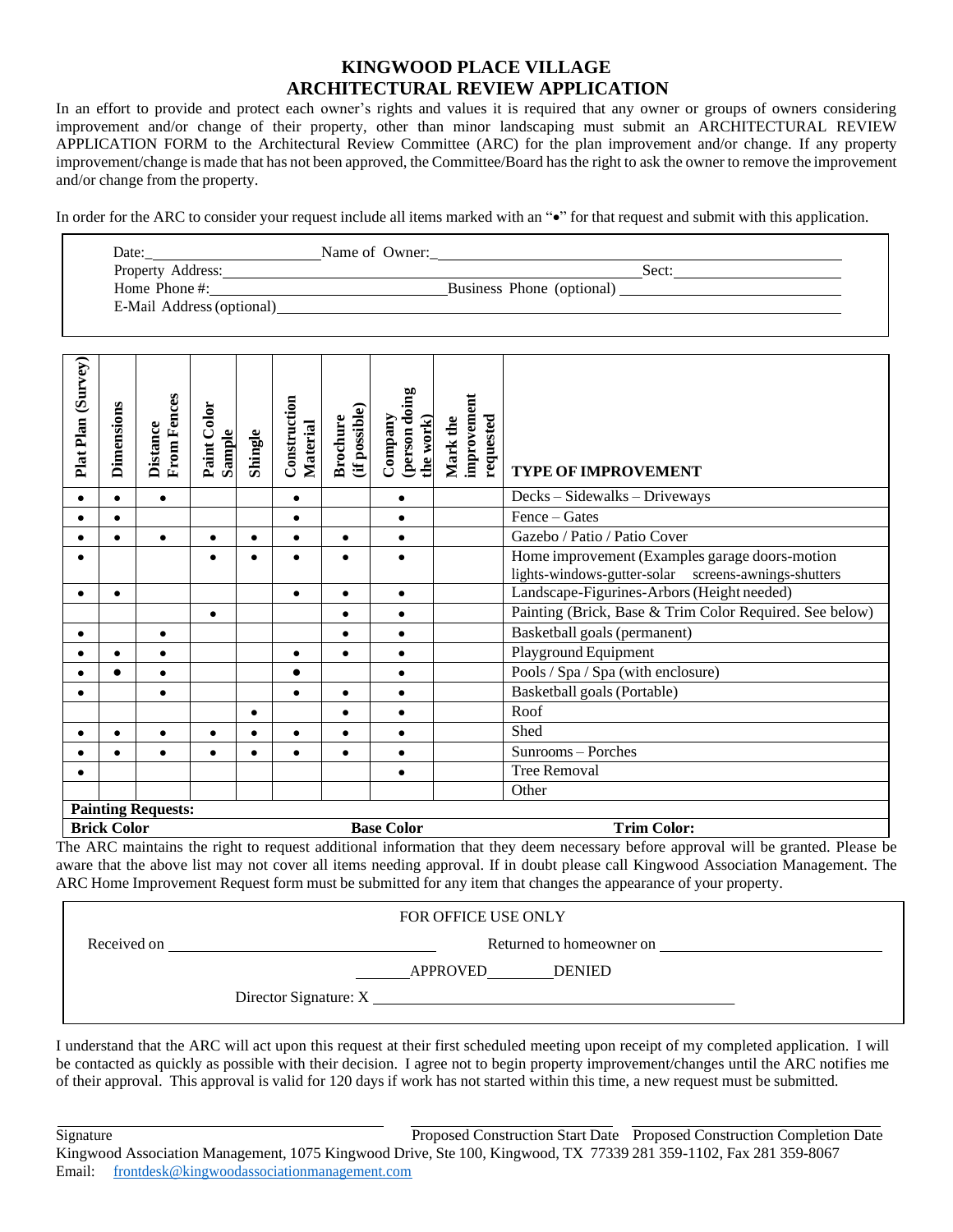## **KINGWOOD PLACE VILLAGE ARCHITECTURAL REVIEW APPLICATION**

In an effort to provide and protect each owner's rights and values it is required that any owner or groups of owners considering improvement and/or change of their property, other than minor landscaping must submit an ARCHITECTURAL REVIEW APPLICATION FORM to the Architectural Review Committee (ARC) for the plan improvement and/or change. If any property improvement/change is made that has not been approved, the Committee/Board hasthe right to ask the owner to remove the improvement and/or change from the property.

In order for the ARC to consider your request include all items marked with an " $\bullet$ " for that request and submit with this application.

| Date:                     | Name of Owner: |                           |      |
|---------------------------|----------------|---------------------------|------|
| Property Address:         |                |                           | Sect |
| Home Phone $\#$ :         |                | Business Phone (optional) |      |
| E-Mail Address (optional) |                |                           |      |

| (Survey)<br>Plat Plan     | Dimensions                                                    | <b>From Fences</b><br><b>Distance</b> | Paint Color<br>Sample | Shingle | Construction<br>Material | (if possible)<br><b>Brochure</b> | (person doing<br>Company<br>the work) | improvement<br>requested<br>Mark the | <b>TYPE OF IMPROVEMENT</b>                                                                             |
|---------------------------|---------------------------------------------------------------|---------------------------------------|-----------------------|---------|--------------------------|----------------------------------|---------------------------------------|--------------------------------------|--------------------------------------------------------------------------------------------------------|
| $\bullet$                 | $\bullet$                                                     | $\bullet$                             |                       |         | $\bullet$                |                                  | $\bullet$                             |                                      | Decks - Sidewalks - Driveways                                                                          |
|                           | ٠                                                             |                                       |                       |         | $\bullet$                |                                  | $\bullet$                             |                                      | Fence - Gates                                                                                          |
|                           | $\bullet$                                                     | $\bullet$                             | $\bullet$             | ٠       | $\bullet$                | $\bullet$                        | $\bullet$                             |                                      | Gazebo / Patio / Patio Cover                                                                           |
|                           |                                                               |                                       |                       |         |                          | $\bullet$                        | $\bullet$                             |                                      | Home improvement (Examples garage doors-motion<br>lights-windows-gutter-solar screens-awnings-shutters |
|                           | ٠                                                             |                                       |                       |         | $\bullet$                | $\bullet$                        | $\bullet$                             |                                      | Landscape-Figurines-Arbors (Height needed)                                                             |
|                           |                                                               |                                       | $\bullet$             |         |                          | $\bullet$                        | $\bullet$                             |                                      | Painting (Brick, Base & Trim Color Required. See below)                                                |
|                           |                                                               | $\bullet$                             |                       |         |                          | ٠                                | $\bullet$                             |                                      | Basketball goals (permanent)                                                                           |
|                           |                                                               | $\bullet$                             |                       |         | $\bullet$                | $\bullet$                        | $\bullet$                             |                                      | Playground Equipment                                                                                   |
|                           |                                                               | ٠                                     |                       |         |                          |                                  | $\bullet$                             |                                      | Pools / Spa / Spa (with enclosure)                                                                     |
|                           |                                                               | $\bullet$                             |                       |         | $\bullet$                | $\bullet$                        | $\bullet$                             |                                      | Basketball goals (Portable)                                                                            |
|                           |                                                               |                                       |                       |         |                          | $\bullet$                        | $\bullet$                             |                                      | Roof                                                                                                   |
|                           |                                                               |                                       |                       |         |                          | $\bullet$                        | $\bullet$                             |                                      | Shed                                                                                                   |
|                           |                                                               |                                       |                       |         |                          | $\bullet$                        | $\bullet$                             |                                      | Sunrooms - Porches                                                                                     |
|                           |                                                               |                                       |                       |         |                          |                                  | $\bullet$                             |                                      | <b>Tree Removal</b>                                                                                    |
|                           |                                                               |                                       |                       |         |                          |                                  |                                       |                                      | Other                                                                                                  |
| <b>Painting Requests:</b> |                                                               |                                       |                       |         |                          |                                  |                                       |                                      |                                                                                                        |
|                           | <b>Brick Color</b><br><b>Base Color</b><br><b>Trim Color:</b> |                                       |                       |         |                          |                                  |                                       |                                      |                                                                                                        |

The ARC maintains the right to request additional information that they deem necessary before approval will be granted. Please be aware that the above list may not cover all items needing approval. If in doubt please call Kingwood Association Management. The ARC Home Improvement Request form must be submitted for any item that changes the appearance of your property.

| <b>FOR OFFICE USE ONLY</b> |                           |  |  |  |  |  |
|----------------------------|---------------------------|--|--|--|--|--|
| Received on                | Returned to homeowner on  |  |  |  |  |  |
|                            | APPROVED<br><b>DENIED</b> |  |  |  |  |  |
|                            | Director Signature: X     |  |  |  |  |  |

I understand that the ARC will act upon this request at their first scheduled meeting upon receipt of my completed application. I will be contacted as quickly as possible with their decision. I agree not to begin property improvement/changes until the ARC notifies me of their approval. This approval is valid for 120 days if work has not started within this time, a new request must be submitted.

Signature Proposed Construction Start Date Proposed Construction Completion Date Kingwood Association Management, 1075 Kingwood Drive, Ste 100, Kingwood, TX 77339 281 359-1102, Fax 281 359-8067 Email: [frontdesk@kingwoodassociationmanagement.com](mailto:frontdesk@kingwoodassociationmanagement.com)